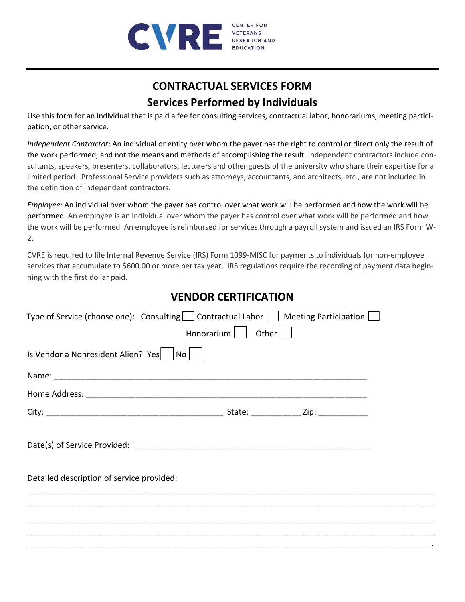

## **CONTRACTUAL SERVICES FORM Services Performed by Individuals**

Use this form for an individual that is paid a fee for consulting services, contractual labor, honorariums, meeting participation, or other service.

*Independent Contractor*: An individual or entity over whom the payer has the right to control or direct only the result of the work performed, and not the means and methods of accomplishing the result. Independent contractors include consultants, speakers, presenters, collaborators, lecturers and other guests of the university who share their expertise for a limited period. Professional Service providers such as attorneys, accountants, and architects, etc., are not included in the definition of independent contractors.

*Employee:* An individual over whom the payer has control over what work will be performed and how the work will be performed. An employee is an individual over whom the payer has control over what work will be performed and how the work will be performed. An employee is reimbursed for services through a payroll system and issued an IRS Form W-2.

CVRE is required to file Internal Revenue Service (IRS) Form 1099-MISC for payments to individuals for non-employee services that accumulate to \$600.00 or more per tax year. IRS regulations require the recording of payment data beginning with the first dollar paid.

## **VENDOR CERTIFICATION**

| Type of Service (choose one): Consulting $\Box$ Contractual Labor $\Box$ Meeting Participation $\Box$ |                      |  |  |
|-------------------------------------------------------------------------------------------------------|----------------------|--|--|
|                                                                                                       | Honorarium     Other |  |  |
| Is Vendor a Nonresident Alien? Yes $ $ $ $ No $ $                                                     |                      |  |  |
|                                                                                                       |                      |  |  |
|                                                                                                       |                      |  |  |
|                                                                                                       |                      |  |  |
|                                                                                                       |                      |  |  |
| Detailed description of service provided:                                                             |                      |  |  |
|                                                                                                       |                      |  |  |
|                                                                                                       |                      |  |  |
|                                                                                                       |                      |  |  |
|                                                                                                       |                      |  |  |